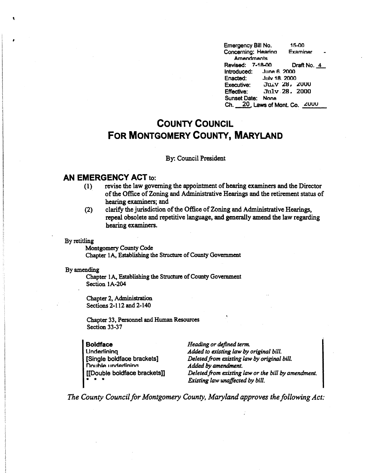Emergency Bill No. 15-00<br>Concerning: Hearing Examiner Concerning: Hearing Amendments Revised: 7-18-00 Draft No. 4<br>Introduced: June 6, 2000 Introduced:<br>Enacted: Enacted: Julv 18\_ 2000 Executive: JULY 28, 2000<br>Effective: July 28, 2000 Effective: .J'u1v 28. 2000 Sunset Date: None Ch. 20. Laws of Mont. Co. ZUUU

## **COUNTY COUNCIL FOR MONTGOMERY COUNTY, MARYLAND**

## By: Council President

## **AN EMERGENCY ACT** to:

- (1) revise the law governing the appointment of hearing examiners and the Director of the Office of Zoning and Administrative Hearings and the retirement status of hearing examiners; and
- (2) clarify the jurisdiction of the Office of Zoning and Administrative Hearings, repeal obsolete and repetitive language, and generally amend the law regarding hearing examiners.

By retitling

 $\ddot{\phantom{0}}$ 

Montgomery County Code Chapter lA, Establishing the Structure of County Government

## By amending

Chapter lA, Establishing the Structure of County Government Section lA-204

Chapter 2, Administration Sections 2-112 and 2-140

Chapter 33, Personnel and Human Resources Section 33-37

**Boldface Underlining** [Single boldface brackets] Double underlining [[Double boldface brackets]] • • •

*Heading or defined term. A.dded to existing law by original bill. Deleted.from existing law by original bill. A.dded by amendment. Deleted from existing law or the bill by amendment. Existing law unaffected by bill.* 

*The County Council for Montgomery County, Maryland approves the following Act:*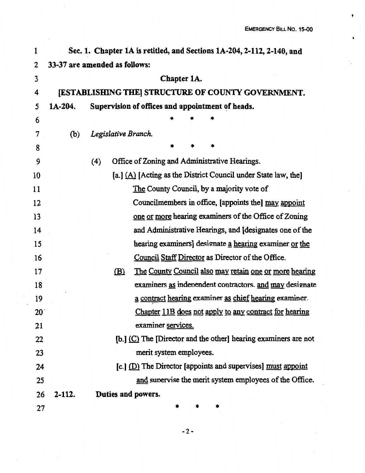$\bullet$ 

 $\bullet$ 

| 1            |            | Sec. 1. Chapter 1A is retitled, and Sections 1A-204, 2-112, 2-140, and        |  |  |  |  |  |
|--------------|------------|-------------------------------------------------------------------------------|--|--|--|--|--|
| 2            |            | 33-37 are amended as follows:                                                 |  |  |  |  |  |
| 3            |            | Chapter 1A.                                                                   |  |  |  |  |  |
| 4            |            | [ESTABLISHING THE] STRUCTURE OF COUNTY GOVERNMENT.                            |  |  |  |  |  |
| 5            | $1A-204.$  | Supervision of offices and appointment of heads.                              |  |  |  |  |  |
| 6            |            |                                                                               |  |  |  |  |  |
| 7            | (b)        | Legislative Branch.                                                           |  |  |  |  |  |
| 8            |            |                                                                               |  |  |  |  |  |
| 9            |            | Office of Zoning and Administrative Hearings.<br>(4)                          |  |  |  |  |  |
| 10           |            | [a.] $(A)$ [Acting as the District Council under State law, the]              |  |  |  |  |  |
| 11           |            | The County Council, by a majority vote of                                     |  |  |  |  |  |
| 12           |            | Councilmembers in office, [appoints the] may appoint                          |  |  |  |  |  |
| 13           |            | one or more hearing examiners of the Office of Zoning                         |  |  |  |  |  |
| 14           |            | and Administrative Hearings, and [designates one of the                       |  |  |  |  |  |
| 15           |            | hearing examiners] designate a hearing examiner or the                        |  |  |  |  |  |
| .16          |            | Council Staff Director as Director of the Office.                             |  |  |  |  |  |
| 17           |            | <u>The County Council also may retain one or more hearing</u><br>$\mathbf{B}$ |  |  |  |  |  |
| 18           |            | examiners as independent contractors. and may designate                       |  |  |  |  |  |
| 19           |            | a contract hearing examiner as chief hearing examiner.                        |  |  |  |  |  |
| $20^{\circ}$ |            | Chapter 11B does not apply to any contract for hearing                        |  |  |  |  |  |
| 21           |            | examiner services.                                                            |  |  |  |  |  |
| 22           |            | [b.] (C) The [Director and the other] hearing examiners are not               |  |  |  |  |  |
| 23           |            | merit system employees.                                                       |  |  |  |  |  |
| 24           |            | [c.] (D) The Director [appoints and supervises] must appoint                  |  |  |  |  |  |
| 25           |            | and supervise the merit system employees of the Office.                       |  |  |  |  |  |
| 26           | $2 - 112.$ | Duties and powers.                                                            |  |  |  |  |  |
| 27           |            |                                                                               |  |  |  |  |  |

 $\hat{\mathcal{A}}$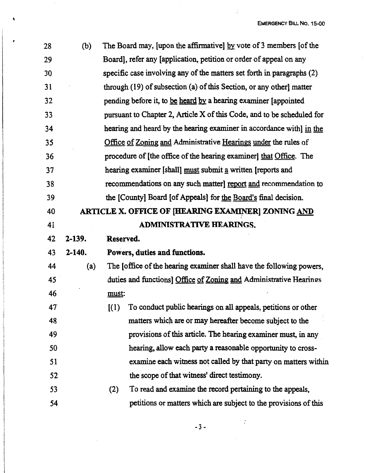$\frac{1}{2}$ 

| 28 | (b)        | The Board may, [upon the affirmative] by vote of 3 members [of the     |  |
|----|------------|------------------------------------------------------------------------|--|
| 29 |            | Board], refer any [application, petition or order of appeal on any     |  |
| 30 |            | specific case involving any of the matters set forth in paragraphs (2) |  |
| 31 |            | through (19) of subsection (a) of this Section, or any other] matter   |  |
| 32 |            | pending before it, to be heard by a hearing examiner [appointed        |  |
| 33 |            | pursuant to Chapter 2, Article X of this Code, and to be scheduled for |  |
| 34 |            | hearing and heard by the hearing examiner in accordance with] in the   |  |
| 35 |            | Office of Zoning and Administrative Hearings under the rules of        |  |
| 36 |            | procedure of [the office of the hearing examiner] that Office. The     |  |
| 37 |            | hearing examiner [shall] must submit a written [reports and            |  |
| 38 |            | recommendations on any such matter] report and recommendation to       |  |
| 39 |            | the [County] Board [of Appeals] for the Board's final decision.        |  |
| 40 |            | ARTICLE X. OFFICE OF [HEARING EXAMINER] ZONING AND                     |  |
| 41 |            | <b>ADMINISTRATIVE HEARINGS.</b>                                        |  |
| 42 | $2 - 139.$ | Reserved.                                                              |  |
| 43 | $2 - 140.$ | Powers, duties and functions.                                          |  |
| 44 | (a)        | The foffice of the hearing examiner shall have the following powers,   |  |
| 45 |            | duties and functions] Office of Zoning and Administrative Hearings     |  |
| 46 |            | must:                                                                  |  |
| 47 |            | To conduct public hearings on all appeals, petitions or other<br>(1)   |  |
| 48 |            | matters which are or may hereafter become subject to the               |  |
| 49 |            | provisions of this article. The hearing examiner must, in any          |  |
| 50 |            | hearing, allow each party a reasonable opportunity to cross-           |  |
| 51 |            | examine each witness not called by that party on matters within        |  |
| 52 |            | the scope of that witness' direct testimony.                           |  |
| 53 |            | To read and examine the record pertaining to the appeals,<br>(2)       |  |
| 54 |            | petitions or matters which are subject to the provisions of this       |  |
|    |            |                                                                        |  |

 $\ddot{\phantom{a}}$ 

 $\blacklozenge$ 

-3-

 $\sim$   $\sim$ 

 $\frac{1}{2}$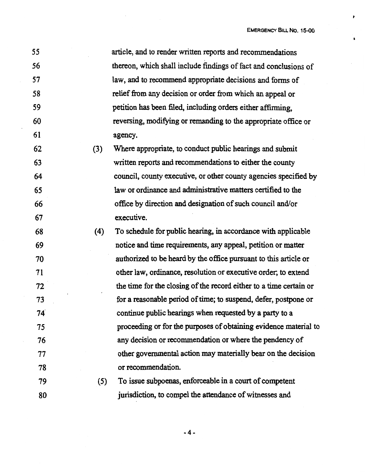$\pmb{\cdot}$ 

 $\bullet$ 

| 55 |     | article, and to render written reports and recommendations         |
|----|-----|--------------------------------------------------------------------|
| 56 |     | thereon, which shall include findings of fact and conclusions of   |
| 57 |     | law, and to recommend appropriate decisions and forms of           |
| 58 |     | relief from any decision or order from which an appeal or          |
| 59 |     | petition has been filed, including orders either affirming,        |
| 60 |     | reversing, modifying or remanding to the appropriate office or     |
| 61 |     | agency.                                                            |
| 62 | (3) | Where appropriate, to conduct public hearings and submit           |
| 63 |     | written reports and recommendations to either the county           |
| 64 |     | council, county executive, or other county agencies specified by   |
| 65 |     | law or ordinance and administrative matters certified to the       |
| 66 |     | office by direction and designation of such council and/or         |
| 67 |     | executive.                                                         |
| 68 | (4) | To schedule for public hearing, in accordance with applicable      |
| 69 |     | notice and time requirements, any appeal, petition or matter       |
| 70 |     | authorized to be heard by the office pursuant to this article or   |
| 71 |     | other law, ordinance, resolution or executive order; to extend     |
| 72 |     | the time for the closing of the record either to a time certain or |
| 73 |     | for a reasonable period of time; to suspend, defer, postpone or    |
| 74 |     | continue public hearings when requested by a party to a            |
| 75 |     | proceeding or for the purposes of obtaining evidence material to   |
| 76 |     | any decision or recommendation or where the pendency of            |
| 77 |     | other governmental action may materially bear on the decision      |
| 78 |     | or recommendation.                                                 |
| 79 | (5) | To issue subpoenas, enforceable in a court of competent            |
| 80 |     | jurisdiction, to compel the attendance of witnesses and            |

-4-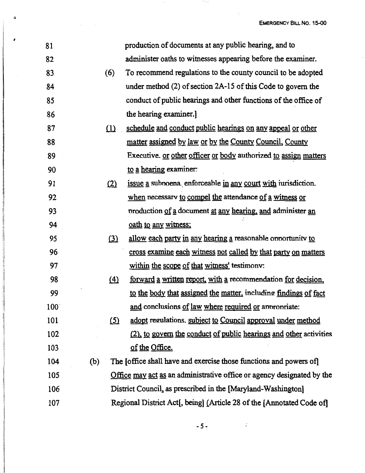| 81  |     |                   | production of documents at any public hearing, and to                  |
|-----|-----|-------------------|------------------------------------------------------------------------|
| 82  |     |                   | administer oaths to witnesses appearing before the examiner.           |
| 83  |     | (6)               | To recommend regulations to the county council to be adopted           |
| 84  |     |                   | under method (2) of section 2A-15 of this Code to govern the           |
| 85  |     |                   | conduct of public hearings and other functions of the office of        |
| 86  |     |                   | the hearing examiner.]                                                 |
| 87  |     | (1)               | schedule and conduct public hearings on any appeal or other            |
| 88  |     |                   | matter assigned by law or by the County Council, County                |
| 89  |     |                   | Executive. or other officer or body authorized to assign matters       |
| 90  |     |                   | to a hearing examiner:                                                 |
| 91  |     | (2)               | issue a subpoena enforceable in any court with iurisdiction.           |
| 92  |     |                   | when necessary to compel the attendance of a witness or                |
| 93  |     |                   | production of a document at any hearing, and administer an             |
| 94  |     |                   | oath to any witness:                                                   |
| 95  |     | (3)               | allow each party in any hearing a reasonable opportunity to            |
| 96  |     |                   | cross examine each witness not called by that party on matters         |
| 97  |     |                   | within the scope of that witness' testimony:                           |
| 98  |     | $\left( 4\right)$ | forward a written report, with a recommendation for decision,          |
| 99  |     |                   | to the body that assigned the matter, including findings of fact       |
| 100 |     |                   | and conclusions of law where required or appropriate:                  |
| 101 |     | <u>(5)</u>        | adopt regulations. subject to Council approval under method            |
| 102 |     |                   | (2), to govern the conduct of public hearings and other activities     |
| 103 |     |                   | of the Office.                                                         |
| 104 | (b) |                   | The Joffice shall have and exercise those functions and powers of      |
| 105 |     |                   | Office may act as an administrative office or agency designated by the |
| 106 |     |                   | District Council, as prescribed in the [Maryland-Washington]           |
| 107 |     |                   | Regional District Act[, being] (Article 28 of the [Annotated Code of]  |

بفتك

 $\mathbb{R}^2$ 

*I* 

 $\blacktriangle$ 

-5-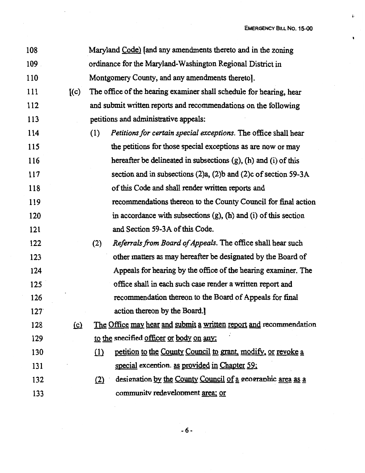1,

 $\bullet$ 

| 108 |          |     | Maryland Code) [and any amendments thereto and in the zoning           |
|-----|----------|-----|------------------------------------------------------------------------|
| 109 |          |     | ordinance for the Maryland-Washington Regional District in             |
| 110 |          |     | Montgomery County, and any amendments thereto].                        |
| 111 | [(c)]    |     | The office of the hearing examiner shall schedule for hearing, hear    |
| 112 |          |     | and submit written reports and recommendations on the following        |
| 113 |          |     | petitions and administrative appeals:                                  |
| 114 |          | (1) | Petitions for certain special exceptions. The office shall hear        |
| 115 |          |     | the petitions for those special exceptions as are now or may           |
| 116 |          |     | hereafter be delineated in subsections (g), (h) and (i) of this        |
| 117 |          |     | section and in subsections (2)a, (2)b and (2)c of section 59-3A        |
| 118 |          |     | of this Code and shall render written reports and                      |
| 119 |          |     | recommendations thereon to the County Council for final action         |
| 120 |          |     | in accordance with subsections $(g)$ , $(h)$ and $(i)$ of this section |
| 121 |          |     | and Section 59-3A of this Code.                                        |
| 122 |          | (2) | Referrals from Board of Appeals. The office shall hear such            |
| 123 |          |     | other matters as may hereafter be designated by the Board of           |
| 124 |          |     | Appeals for hearing by the office of the hearing examiner. The         |
| 125 |          |     | office shall in each such case render a written report and             |
| 126 |          |     | recommendation thereon to the Board of Appeals for final               |
| 127 |          |     | action thereon by the Board.]                                          |
| 128 | $\Omega$ |     | The Office may hear and submit a written report and recommendation     |
| 129 |          |     | to the specified officer or body on any:                               |
| 130 |          | (1) | petition to the County Council to grant, modify, or revoke a           |
| 131 |          |     | special exception. as provided in Chapter 59;                          |
| 132 |          | (2) | designation by the County Council of a geographic area as a            |
| 133 |          |     | community redevelopment area; or                                       |

 $\sim$   $\sim$ 

 $\mathcal{L}_{\mathcal{A}}$ 

-6-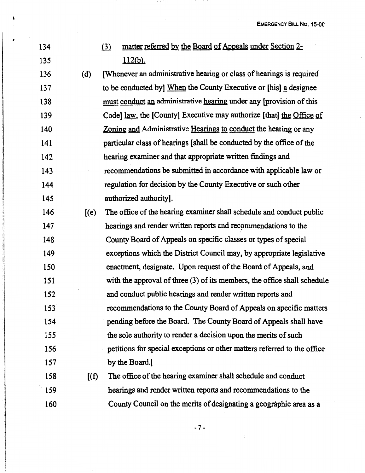134 (3) matter referred by the Board of Appeals under Section 2-135 **l** 112(b).

*I* 

136 (d) (Whenever an administrative hearing or class of hearings is required 137 to be conducted by] When the County Executive or [his] a designee 138 must conduct an administrative hearing under any (provision of this 139 Code] law, the [County] Executive may authorize [that] the Office of 140 Zoning and Administrative Hearings to conduct the hearing or any 141 particular class of hearings [shall be conducted by the office of the 142 hearing examiner and that appropriate written findings and 143 recommendations be submitted in accordance with applicable law or 144 regulation for decision by the County Executive or such other 145 authorized authority].

- 146 [(e) The office of the hearing examiner shall schedule and conduct public 147 hearings and render written reports and recommendations to the 148 County Board of Appeals on specific classes or types of special 149 exceptions which the District Council may, by appropriate legislative 150 enactment, designate. Upon request of the Board of Appeals, and 151 with the approval of three (3) of its members, the office shall schedule 152 and conduct public hearings and render written reports and 153· recommendations to the County Board of Appeals on specific matters 154 **pending before the Board. The County Board of Appeals shall have** 155 the sole authority to render a decision upon the merits of such 156 petitions for special exceptions or other matters referred to the office 157 by the Board.
- 158 [(f) The office of the hearing examiner shall schedule and conduct 159 hearings and render written reports and recommendations to the 160 County Council on the merits of designating a geographic area as a

-7-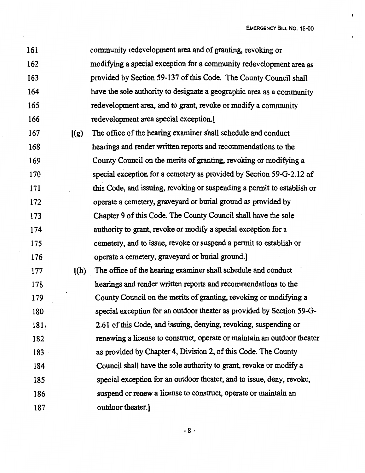$\mathbf{r}$ 

 $\pmb{\mathfrak{t}}$ 

| 161              |       | community redevelopment area and of granting, revoking or               |
|------------------|-------|-------------------------------------------------------------------------|
| 162              |       | modifying a special exception for a community redevelopment area as     |
| 163              |       | provided by Section 59-137 of this Code. The County Council shall       |
| 164              |       | have the sole authority to designate a geographic area as a community   |
| 165              |       | redevelopment area, and to grant, revoke or modify a community          |
| 166              |       | redevelopment area special exception.]                                  |
| 167              | [(g)] | The office of the hearing examiner shall schedule and conduct           |
| 168              |       | hearings and render written reports and recommendations to the          |
| 169              |       | County Council on the merits of granting, revoking or modifying a       |
| 170              |       | special exception for a cemetery as provided by Section 59-G-2.12 of    |
| 171              |       | this Code, and issuing, revoking or suspending a permit to establish or |
| 172              |       | operate a cemetery, graveyard or burial ground as provided by           |
| 173              |       | Chapter 9 of this Code. The County Council shall have the sole          |
| 174              |       | authority to grant, revoke or modify a special exception for a          |
| 175              |       | cemetery, and to issue, revoke or suspend a permit to establish or      |
| 176              |       | operate a cemetery, graveyard or burial ground.]                        |
| 177              | (h)   | The office of the hearing examiner shall schedule and conduct           |
| 178              |       | hearings and render written reports and recommendations to the          |
| 179              |       | County Council on the merits of granting, revoking or modifying a       |
| 180              |       | special exception for an outdoor theater as provided by Section 59-G-   |
| 181 <sub>1</sub> |       | 2.61 of this Code, and issuing, denying, revoking, suspending or        |
| 182              |       | renewing a license to construct, operate or maintain an outdoor theater |
| 183              |       | as provided by Chapter 4, Division 2, of this Code. The County          |
| 184              |       | Council shall have the sole authority to grant, revoke or modify a      |
| 185              |       | special exception for an outdoor theater, and to issue, deny, revoke,   |
| 186              |       | suspend or renew a license to construct, operate or maintain an         |
| 187              |       | outdoor theater.]                                                       |

-8-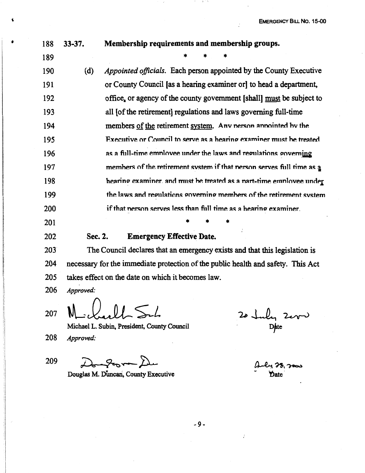| 188 | $33 - 37.$ | Membership requirements and membership groups.                            |
|-----|------------|---------------------------------------------------------------------------|
| 189 |            |                                                                           |
| 190 | (d)        | <i>Appointed officials.</i> Each person appointed by the County Executive |
| 191 |            | or County Council [as a hearing examiner or] to head a department,        |
| 192 |            | office, or agency of the county government [shall] must be subject to     |
| 193 |            | all [of the retirement] regulations and laws governing full-time          |
| 194 |            | members of the retirement system. Any nerson annointed by the             |
| 195 |            | Executive or Council to serve as a hearing examiner must be treated       |
| 196 |            | as a full-time employee under the laws and regulations governing          |
| 197 |            | members of the retirement system if that nerson serves full time as a     |
| 198 |            | hearing examiner, and must be treated as a nart-time employee under       |
| 199 |            | the laws and regulations governing members of the retirement system       |
| 200 |            | if that nerson serves less than full time as a hearing examiner.          |
| 201 |            |                                                                           |
| 202 | Sec. 2.    | <b>Emergency Effective Date.</b>                                          |

203 The Council declares that an emergency exists and that this legislation is 204 necessary for the immediate protection of the public health and safety. This Act takes effect on the date on which it becomes law. 205

Approved: 206

207

Michael L. Subin, President, County Council

208 Approved:

209

 $\boldsymbol{Q}$ 

Douglas M. Duncan, County Executive

20 July 2000

by 28, 2000 **Y** ate

 $-9-$ 

ż